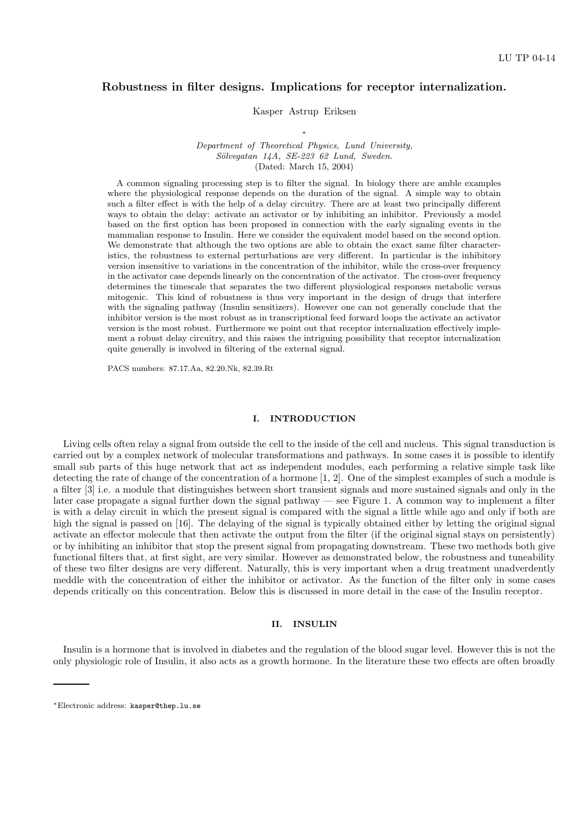# Robustness in filter designs. Implications for receptor internalization.

Kasper Astrup Eriksen

∗ Department of Theoretical Physics, Lund University,  $Sölveqatan$   $14A$ ,  $SE-223$   $62$   $Lund$ ,  $Sweden$ . (Dated: March 15, 2004)

A common signaling processing step is to filter the signal. In biology there are amble examples where the physiological response depends on the duration of the signal. A simple way to obtain such a filter effect is with the help of a delay circuitry. There are at least two principally different ways to obtain the delay: activate an activator or by inhibiting an inhibitor. Previously a model based on the first option has been proposed in connection with the early signaling events in the mammalian response to Insulin. Here we consider the equivalent model based on the second option. We demonstrate that although the two options are able to obtain the exact same filter characteristics, the robustness to external perturbations are very different. In particular is the inhibitory version insensitive to variations in the concentration of the inhibitor, while the cross-over frequency in the activator case depends linearly on the concentration of the activator. The cross-over frequency determines the timescale that separates the two different physiological responses metabolic versus mitogenic. This kind of robustness is thus very important in the design of drugs that interfere with the signaling pathway (Insulin sensitizers). However one can not generally conclude that the inhibitor version is the most robust as in transcriptional feed forward loops the activate an activator version is the most robust. Furthermore we point out that receptor internalization effectively implement a robust delay circuitry, and this raises the intriguing possibility that receptor internalization quite generally is involved in filtering of the external signal.

PACS numbers: 87.17.Aa, 82.20.Nk, 82.39.Rt

## I. INTRODUCTION

Living cells often relay a signal from outside the cell to the inside of the cell and nucleus. This signal transduction is carried out by a complex network of molecular transformations and pathways. In some cases it is possible to identify small sub parts of this huge network that act as independent modules, each performing a relative simple task like detecting the rate of change of the concentration of a hormone [1, 2]. One of the simplest examples of such a module is a filter [3] i.e. a module that distinguishes between short transient signals and more sustained signals and only in the later case propagate a signal further down the signal pathway — see Figure 1. A common way to implement a filter is with a delay circuit in which the present signal is compared with the signal a little while ago and only if both are high the signal is passed on [16]. The delaying of the signal is typically obtained either by letting the original signal activate an effector molecule that then activate the output from the filter (if the original signal stays on persistently) or by inhibiting an inhibitor that stop the present signal from propagating downstream. These two methods both give functional filters that, at first sight, are very similar. However as demonstrated below, the robustness and tuneability of these two filter designs are very different. Naturally, this is very important when a drug treatment unadverdently meddle with the concentration of either the inhibitor or activator. As the function of the filter only in some cases depends critically on this concentration. Below this is discussed in more detail in the case of the Insulin receptor.

## II. INSULIN

Insulin is a hormone that is involved in diabetes and the regulation of the blood sugar level. However this is not the only physiologic role of Insulin, it also acts as a growth hormone. In the literature these two effects are often broadly

<sup>∗</sup>Electronic address: kasper@thep.lu.se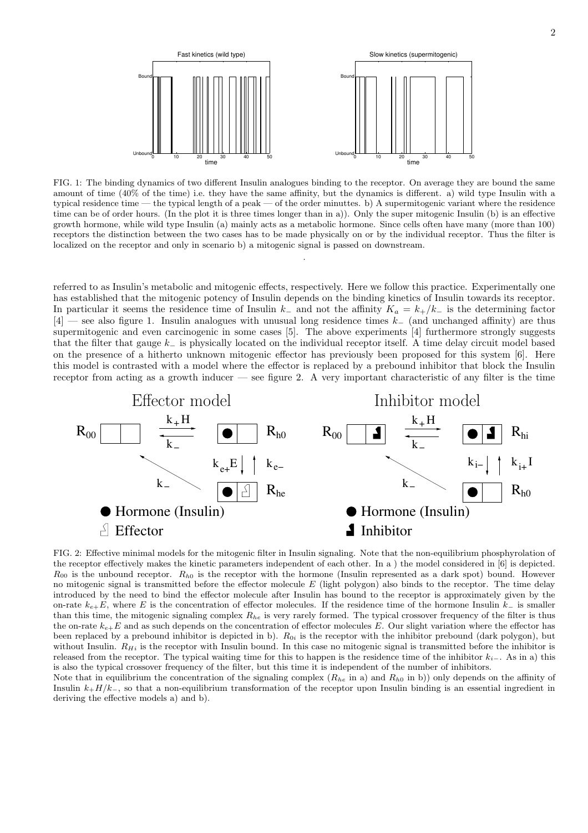

FIG. 1: The binding dynamics of two different Insulin analogues binding to the receptor. On average they are bound the same amount of time (40% of the time) i.e. they have the same affinity, but the dynamics is different. a) wild type Insulin with a typical residence time — the typical length of a peak — of the order minuttes. b) A supermitogenic variant where the residence time can be of order hours. (In the plot it is three times longer than in a)). Only the super mitogenic Insulin (b) is an effective growth hormone, while wild type Insulin (a) mainly acts as a metabolic hormone. Since cells often have many (more than 100) receptors the distinction between the two cases has to be made physically on or by the individual receptor. Thus the filter is localized on the receptor and only in scenario b) a mitogenic signal is passed on downstream.

.

referred to as Insulin's metabolic and mitogenic effects, respectively. Here we follow this practice. Experimentally one has established that the mitogenic potency of Insulin depends on the binding kinetics of Insulin towards its receptor. In particular it seems the residence time of Insulin  $k_-\,$  and not the affinity  $K_a = k_+/k_-\,$  is the determining factor [4] — see also figure 1. Insulin analogues with unusual long residence times k<sup>−</sup> (and unchanged affinity) are thus supermitogenic and even carcinogenic in some cases [5]. The above experiments [4] furthermore strongly suggests that the filter that gauge k<sup>−</sup> is physically located on the individual receptor itself. A time delay circuit model based on the presence of a hitherto unknown mitogenic effector has previously been proposed for this system [6]. Here this model is contrasted with a model where the effector is replaced by a prebound inhibitor that block the Insulin receptor from acting as a growth inducer — see figure 2. A very important characteristic of any filter is the time



FIG. 2: Effective minimal models for the mitogenic filter in Insulin signaling. Note that the non-equilibrium phosphyrolation of the receptor effectively makes the kinetic parameters independent of each other. In a ) the model considered in [6] is depicted.  $R_{00}$  is the unbound receptor.  $R_{h0}$  is the receptor with the hormone (Insulin represented as a dark spot) bound. However no mitogenic signal is transmitted before the effector molecule  $E$  (light polygon) also binds to the receptor. The time delay introduced by the need to bind the effector molecule after Insulin has bound to the receptor is approximately given by the on-rate  $k_{e+}E$ , where E is the concentration of effector molecules. If the residence time of the hormone Insulin  $k_$  is smaller than this time, the mitogenic signaling complex  $R_{he}$  is very rarely formed. The typical crossover frequency of the filter is thus the on-rate  $k_{e+}E$  and as such depends on the concentration of effector molecules E. Our slight variation where the effector has been replaced by a prebound inhibitor is depicted in b).  $R_{0i}$  is the receptor with the inhibitor prebound (dark polygon), but without Insulin.  $R_{Hi}$  is the receptor with Insulin bound. In this case no mitogenic signal is transmitted before the inhibitor is released from the receptor. The typical waiting time for this to happen is the residence time of the inhibitor  $k_{i-}$ . As in a) this is also the typical crossover frequency of the filter, but this time it is independent of the number of inhibitors.

Note that in equilibrium the concentration of the signaling complex  $(R_{he}$  in a) and  $R_{h0}$  in b)) only depends on the affinity of Insulin  $k_{+}H/k_{-}$ , so that a non-equilibrium transformation of the receptor upon Insulin binding is an essential ingredient in deriving the effective models a) and b).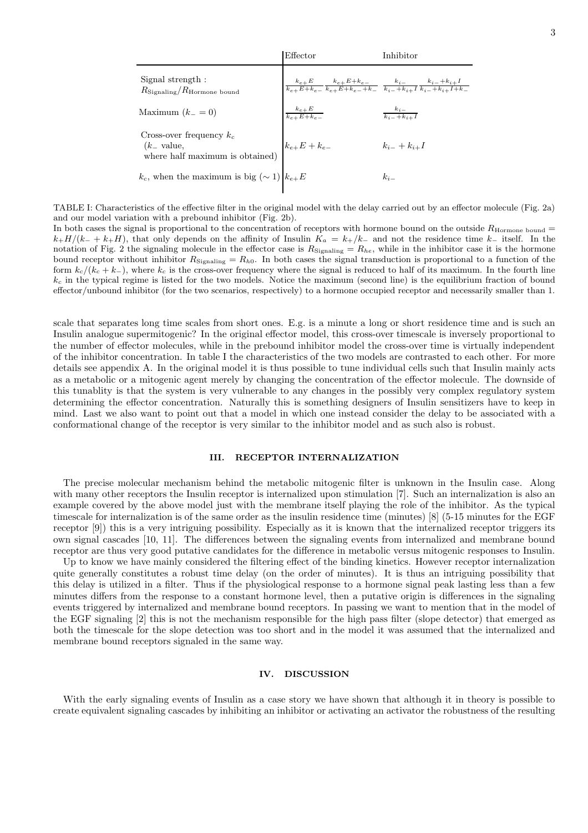| Effector                                                                                                                                                                                         | Inhibitor                        |
|--------------------------------------------------------------------------------------------------------------------------------------------------------------------------------------------------|----------------------------------|
| $\Big   \, \frac{k_{e+} E}{k_{e+} E + k_{e-}} \, \frac{k_{e+} E + k_{e-}}{k_{e+} E + k_{e-} + k_{-}} \, \, \frac{k_i}{k_{i-} + k_{i+} I} \, \frac{k_{i-} + k_{i+} I}{k_{i-} + k_{i+} I + k_{-}}$ |                                  |
|                                                                                                                                                                                                  | $\frac{k_{i-}}{k_{i-}+k_{i+}I}$  |
| $k_{e+}E+k_{e-}$                                                                                                                                                                                 | $k_{i-}+k_{i+}I$                 |
| $k_c$ , when the maximum is big $(\sim 1)   k_{e+}E$                                                                                                                                             | $k_{i-}$                         |
|                                                                                                                                                                                                  | $\frac{k_{e+}E}{k_{e+}E+k_{e-}}$ |

TABLE I: Characteristics of the effective filter in the original model with the delay carried out by an effector molecule (Fig. 2a) and our model variation with a prebound inhibitor (Fig. 2b).

In both cases the signal is proportional to the concentration of receptors with hormone bound on the outside  $R_{\text{Hormone bound}} =$  $k_{+}H/(k_{-} + k_{+}H)$ , that only depends on the affinity of Insulin  $K_a = k_{+}/k_{-}$  and not the residence time  $k_{-}$  itself. In the notation of Fig. 2 the signaling molecule in the effector case is  $R_{\text{Signaling}} = R_{he}$ , while in the inhibitor case it is the hormone bound receptor without inhibitor  $R_{\text{Signaling}} = R_{h0}$ . In both cases the signal transduction is proportional to a function of the form  $k_c/(k_c + k_-)$ , where  $k_c$  is the cross-over frequency where the signal is reduced to half of its maximum. In the fourth line  $k_c$  in the typical regime is listed for the two models. Notice the maximum (second line) is the equilibrium fraction of bound effector/unbound inhibitor (for the two scenarios, respectively) to a hormone occupied receptor and necessarily smaller than 1.

scale that separates long time scales from short ones. E.g. is a minute a long or short residence time and is such an Insulin analogue supermitogenic? In the original effector model, this cross-over timescale is inversely proportional to the number of effector molecules, while in the prebound inhibitor model the cross-over time is virtually independent of the inhibitor concentration. In table I the characteristics of the two models are contrasted to each other. For more details see appendix A. In the original model it is thus possible to tune individual cells such that Insulin mainly acts as a metabolic or a mitogenic agent merely by changing the concentration of the effector molecule. The downside of this tunablity is that the system is very vulnerable to any changes in the possibly very complex regulatory system determining the effector concentration. Naturally this is something designers of Insulin sensitizers have to keep in mind. Last we also want to point out that a model in which one instead consider the delay to be associated with a conformational change of the receptor is very similar to the inhibitor model and as such also is robust.

### III. RECEPTOR INTERNALIZATION

The precise molecular mechanism behind the metabolic mitogenic filter is unknown in the Insulin case. Along with many other receptors the Insulin receptor is internalized upon stimulation [7]. Such an internalization is also an example covered by the above model just with the membrane itself playing the role of the inhibitor. As the typical timescale for internalization is of the same order as the insulin residence time (minutes) [8] (5-15 minutes for the EGF receptor [9]) this is a very intriguing possibility. Especially as it is known that the internalized receptor triggers its own signal cascades [10, 11]. The differences between the signaling events from internalized and membrane bound receptor are thus very good putative candidates for the difference in metabolic versus mitogenic responses to Insulin.

Up to know we have mainly considered the filtering effect of the binding kinetics. However receptor internalization quite generally constitutes a robust time delay (on the order of minutes). It is thus an intriguing possibility that this delay is utilized in a filter. Thus if the physiological response to a hormone signal peak lasting less than a few minutes differs from the response to a constant hormone level, then a putative origin is differences in the signaling events triggered by internalized and membrane bound receptors. In passing we want to mention that in the model of the EGF signaling [2] this is not the mechanism responsible for the high pass filter (slope detector) that emerged as both the timescale for the slope detection was too short and in the model it was assumed that the internalized and membrane bound receptors signaled in the same way.

#### IV. DISCUSSION

With the early signaling events of Insulin as a case story we have shown that although it in theory is possible to create equivalent signaling cascades by inhibiting an inhibitor or activating an activator the robustness of the resulting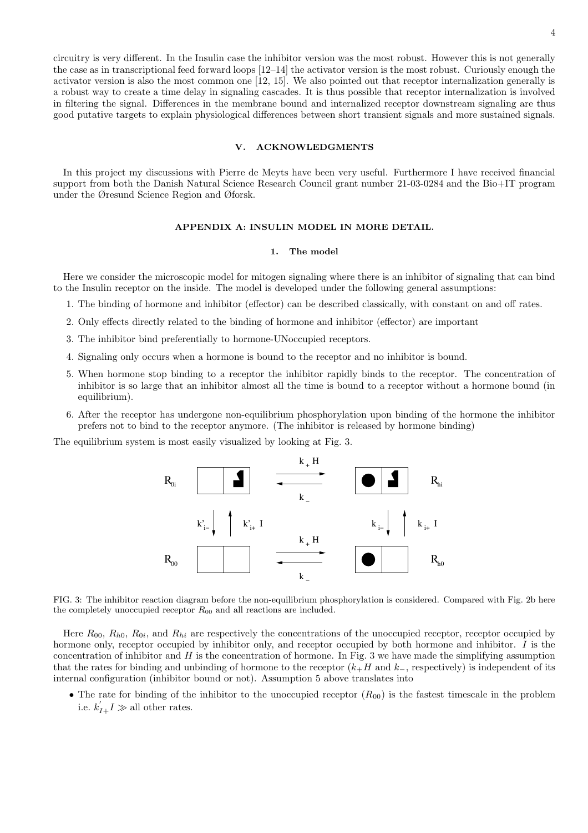circuitry is very different. In the Insulin case the inhibitor version was the most robust. However this is not generally the case as in transcriptional feed forward loops [12–14] the activator version is the most robust. Curiously enough the activator version is also the most common one [12, 15]. We also pointed out that receptor internalization generally is a robust way to create a time delay in signaling cascades. It is thus possible that receptor internalization is involved in filtering the signal. Differences in the membrane bound and internalized receptor downstream signaling are thus good putative targets to explain physiological differences between short transient signals and more sustained signals.

## V. ACKNOWLEDGMENTS

In this project my discussions with Pierre de Meyts have been very useful. Furthermore I have received financial support from both the Danish Natural Science Research Council grant number 21-03-0284 and the Bio+IT program under the Øresund Science Region and Øforsk.

## APPENDIX A: INSULIN MODEL IN MORE DETAIL.

#### 1. The model

Here we consider the microscopic model for mitogen signaling where there is an inhibitor of signaling that can bind to the Insulin receptor on the inside. The model is developed under the following general assumptions:

- 1. The binding of hormone and inhibitor (effector) can be described classically, with constant on and off rates.
- 2. Only effects directly related to the binding of hormone and inhibitor (effector) are important
- 3. The inhibitor bind preferentially to hormone-UNoccupied receptors.
- 4. Signaling only occurs when a hormone is bound to the receptor and no inhibitor is bound.
- 5. When hormone stop binding to a receptor the inhibitor rapidly binds to the receptor. The concentration of inhibitor is so large that an inhibitor almost all the time is bound to a receptor without a hormone bound (in equilibrium).
- 6. After the receptor has undergone non-equilibrium phosphorylation upon binding of the hormone the inhibitor prefers not to bind to the receptor anymore. (The inhibitor is released by hormone binding)

The equilibrium system is most easily visualized by looking at Fig. 3.



FIG. 3: The inhibitor reaction diagram before the non-equilibrium phosphorylation is considered. Compared with Fig. 2b here the completely unoccupied receptor  $R_{00}$  and all reactions are included.

Here  $R_{00}$ ,  $R_{h0}$ ,  $R_{0i}$ , and  $R_{hi}$  are respectively the concentrations of the unoccupied receptor, receptor occupied by hormone only, receptor occupied by inhibitor only, and receptor occupied by both hormone and inhibitor.  $\tilde{I}$  is the concentration of inhibitor and  $H$  is the concentration of hormone. In Fig. 3 we have made the simplifying assumption that the rates for binding and unbinding of hormone to the receptor  $(k+H)$  and  $k_$ , respectively) is independent of its internal configuration (inhibitor bound or not). Assumption 5 above translates into

• The rate for binding of the inhibitor to the unoccupied receptor  $(R_{00})$  is the fastest timescale in the problem i.e.  $k'_{I+}I \gg$  all other rates.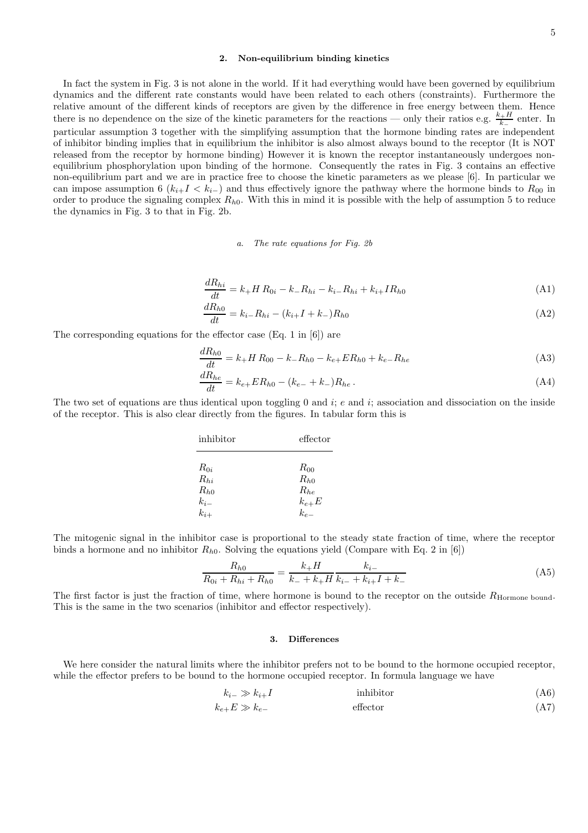## 5

## 2. Non-equilibrium binding kinetics

In fact the system in Fig. 3 is not alone in the world. If it had everything would have been governed by equilibrium dynamics and the different rate constants would have been related to each others (constraints). Furthermore the relative amount of the different kinds of receptors are given by the difference in free energy between them. Hence there is no dependence on the size of the kinetic parameters for the reactions — only their ratios e.g.  $\frac{k+H}{k}$  $\frac{k-1}{k-1}$  enter. In particular assumption 3 together with the simplifying assumption that the hormone binding rates are independent of inhibitor binding implies that in equilibrium the inhibitor is also almost always bound to the receptor (It is NOT released from the receptor by hormone binding) However it is known the receptor instantaneously undergoes nonequilibrium phosphorylation upon binding of the hormone. Consequently the rates in Fig. 3 contains an effective non-equilibrium part and we are in practice free to choose the kinetic parameters as we please [6]. In particular we can impose assumption 6  $(k_{i+1} < k_{i-})$  and thus effectively ignore the pathway where the hormone binds to  $R_{00}$  in order to produce the signaling complex  $R_{h0}$ . With this in mind it is possible with the help of assumption 5 to reduce the dynamics in Fig. 3 to that in Fig. 2b.

a. The rate equations for Fig. 2b

$$
\frac{dR_{hi}}{dt} = k_{+}H R_{0i} - k_{-}R_{hi} - k_{i-}R_{hi} + k_{i+}I R_{h0}
$$
\n(A1)

$$
\frac{dR_{h0}}{dt} = k_{i-}R_{hi} - (k_{i+}I + k_{-})R_{h0}
$$
\n(A2)

The corresponding equations for the effector case (Eq. 1 in [6]) are

$$
\frac{dR_{h0}}{dt} = k_{+}H R_{00} - k_{-}R_{h0} - k_{e+}ER_{h0} + k_{e-}R_{he}
$$
\n(A3)

$$
\frac{dR_{he}}{dt} = k_{e+}ER_{h0} - (k_{e-} + k_{-})R_{he}.
$$
\n(A4)

The two set of equations are thus identical upon toggling 0 and i; e and i; association and dissociation on the inside of the receptor. This is also clear directly from the figures. In tabular form this is

| inhibitor                                                   | effector                                      |
|-------------------------------------------------------------|-----------------------------------------------|
| $R_{0i}$<br>$R_{hi}$<br>$R_{h0}$<br>$\frac{k_{i-}}{k_{i+}}$ | $R_{00}$<br>$R_{h0}$<br>$R_{he}$<br>$k_{e+}E$ |
|                                                             | $k_{e-}$                                      |

The mitogenic signal in the inhibitor case is proportional to the steady state fraction of time, where the receptor binds a hormone and no inhibitor  $R_{h0}$ . Solving the equations yield (Compare with Eq. 2 in [6])

$$
\frac{R_{h0}}{R_{0i} + R_{hi} + R_{h0}} = \frac{k_+ H}{k_- + k_+ H} \frac{k_{i-}}{k_{i-} + k_{i+} I + k_-}
$$
(A5)

The first factor is just the fraction of time, where hormone is bound to the receptor on the outside R<sub>Hormone bound</sub>. This is the same in the two scenarios (inhibitor and effector respectively).

## 3. Differences

We here consider the natural limits where the inhibitor prefers not to be bound to the hormone occupied receptor, while the effector prefers to be bound to the hormone occupied receptor. In formula language we have

$$
k_{i-} \gg k_{i+}I
$$
 inhibitor (A6)  
\n
$$
k_{e+}E \gg k_{e-}
$$
 effector (A7)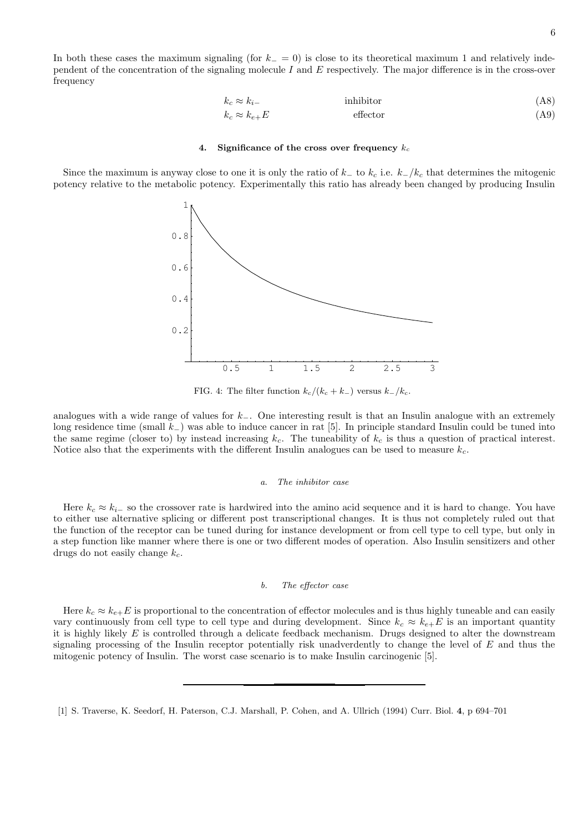In both these cases the maximum signaling (for  $k_ - = 0$ ) is close to its theoretical maximum 1 and relatively independent of the concentration of the signaling molecule I and  $E$  respectively. The major difference is in the cross-over frequency

$$
k_c \approx k_{i-}
$$
inhibitor (A8)  
\n
$$
k_c \approx k_{e+}E
$$
effector (A9)

### 4. Significance of the cross over frequency  $k_c$

Since the maximum is anyway close to one it is only the ratio of  $k_-\text{ to }k_c$  i.e.  $k_-/k_c$  that determines the mitogenic potency relative to the metabolic potency. Experimentally this ratio has already been changed by producing Insulin



FIG. 4: The filter function  $k_c/(k_c + k_-)$  versus  $k_-/k_c$ .

analogues with a wide range of values for  $k_$ . One interesting result is that an Insulin analogue with an extremely long residence time (small k−) was able to induce cancer in rat [5]. In principle standard Insulin could be tuned into the same regime (closer to) by instead increasing  $k_c$ . The tuneability of  $k_c$  is thus a question of practical interest. Notice also that the experiments with the different Insulin analogues can be used to measure  $k_c$ .

#### a. The inhibitor case

Here  $k_c \approx k_{i-1}$  so the crossover rate is hardwired into the amino acid sequence and it is hard to change. You have to either use alternative splicing or different post transcriptional changes. It is thus not completely ruled out that the function of the receptor can be tuned during for instance development or from cell type to cell type, but only in a step function like manner where there is one or two different modes of operation. Also Insulin sensitizers and other drugs do not easily change  $k_c$ .

#### b. The effector case

Here  $k_c \approx k_{e+}E$  is proportional to the concentration of effector molecules and is thus highly tuneable and can easily vary continuously from cell type to cell type and during development. Since  $k_c \approx k_{e+}E$  is an important quantity it is highly likely  $E$  is controlled through a delicate feedback mechanism. Drugs designed to alter the downstream signaling processing of the Insulin receptor potentially risk unadverdently to change the level of  $E$  and thus the mitogenic potency of Insulin. The worst case scenario is to make Insulin carcinogenic [5].

<sup>[1]</sup> S. Traverse, K. Seedorf, H. Paterson, C.J. Marshall, P. Cohen, and A. Ullrich (1994) Curr. Biol. 4, p 694–701